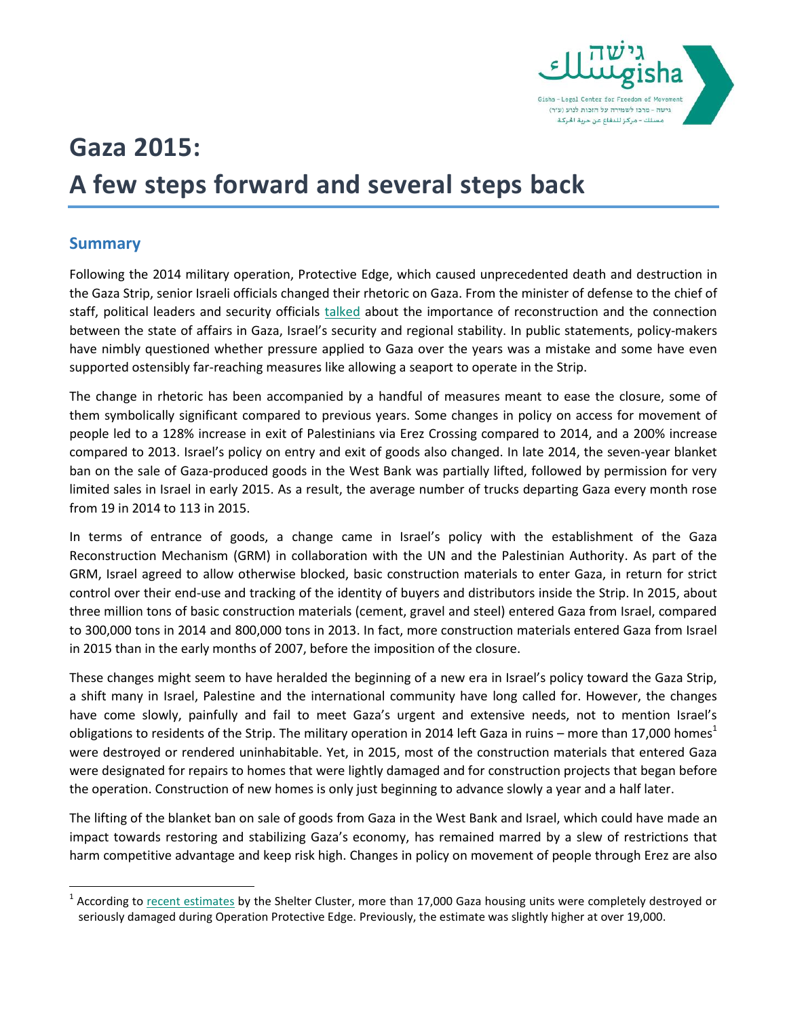

# **Gaza 2015: A few steps forward and several steps back**

## **Summary**

l

Following the 2014 military operation, Protective Edge, which caused unprecedented death and destruction in the Gaza Strip, senior Israeli officials changed their rhetoric on Gaza. From the minister of defense to the chief of staff, political leaders and security officials [talked](http://gisha.org/UserFiles/File/publications/Gaza_reconstruction_quotes.pdf) about the importance of reconstruction and the connection between the state of affairs in Gaza, Israel's security and regional stability. In public statements, policy-makers have nimbly questioned whether pressure applied to Gaza over the years was a mistake and some have even supported ostensibly far-reaching measures like allowing a seaport to operate in the Strip.

The change in rhetoric has been accompanied by a handful of measures meant to ease the closure, some of them symbolically significant compared to previous years. Some changes in policy on access for movement of people led to a 128% increase in exit of Palestinians via Erez Crossing compared to 2014, and a 200% increase compared to 2013. Israel's policy on entry and exit of goods also changed. In late 2014, the seven-year blanket ban on the sale of Gaza-produced goods in the West Bank was partially lifted, followed by permission for very limited sales in Israel in early 2015. As a result, the average number of trucks departing Gaza every month rose from 19 in 2014 to 113 in 2015.

In terms of entrance of goods, a change came in Israel's policy with the establishment of the Gaza Reconstruction Mechanism (GRM) in collaboration with the UN and the Palestinian Authority. As part of the GRM, Israel agreed to allow otherwise blocked, basic construction materials to enter Gaza, in return for strict control over their end-use and tracking of the identity of buyers and distributors inside the Strip. In 2015, about three million tons of basic construction materials (cement, gravel and steel) entered Gaza from Israel, compared to 300,000 tons in 2014 and 800,000 tons in 2013. In fact, more construction materials entered Gaza from Israel in 2015 than in the early months of 2007, before the imposition of the closure.

These changes might seem to have heralded the beginning of a new era in Israel's policy toward the Gaza Strip, a shift many in Israel, Palestine and the international community have long called for. However, the changes have come slowly, painfully and fail to meet Gaza's urgent and extensive needs, not to mention Israel's obligations to residents of the Strip. The military operation in 2014 left Gaza in ruins – more than 17,000 homes<sup>1</sup> were destroyed or rendered uninhabitable. Yet, in 2015, most of the construction materials that entered Gaza were designated for repairs to homes that were lightly damaged and for construction projects that began before the operation. Construction of new homes is only just beginning to advance slowly a year and a half later.

The lifting of the blanket ban on sale of goods from Gaza in the West Bank and Israel, which could have made an impact towards restoring and stabilizing Gaza's economy, has remained marred by a slew of restrictions that harm competitive advantage and keep risk high. Changes in policy on movement of people through Erez are also

<sup>&</sup>lt;sup>1</sup> According to **recent estimates** by the Shelter Cluster, more than 17,000 Gaza housing units were completely destroyed or seriously damaged during Operation Protective Edge. Previously, the estimate was slightly higher at over 19,000.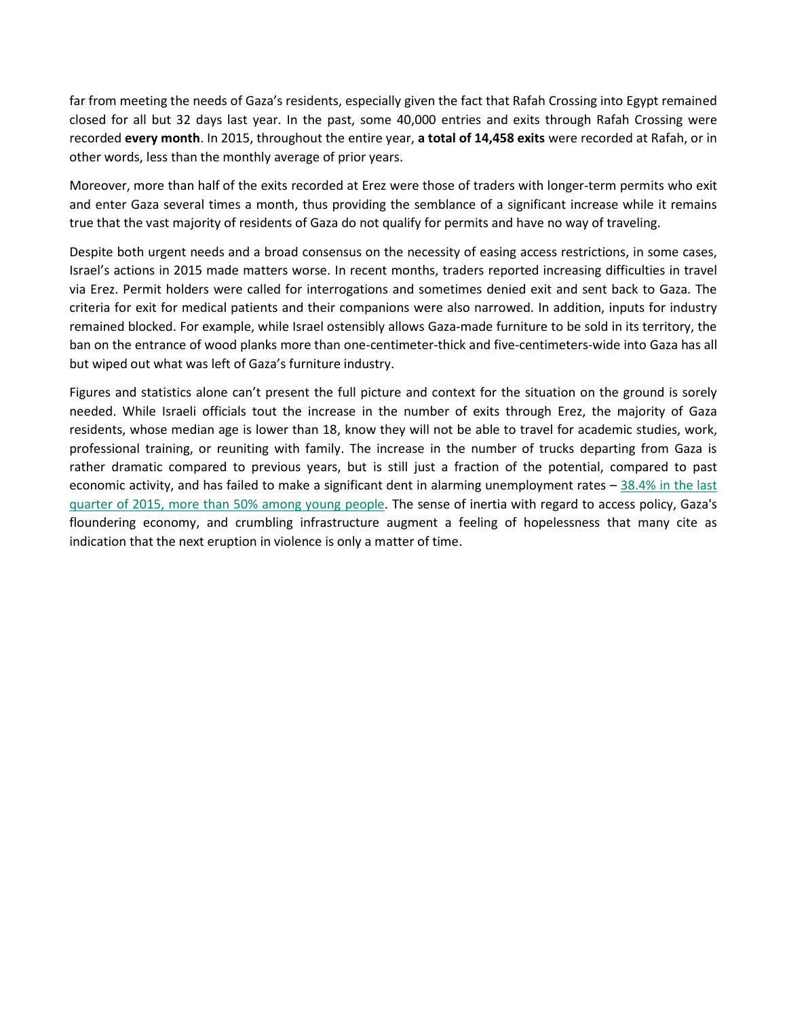far from meeting the needs of Gaza's residents, especially given the fact that Rafah Crossing into Egypt remained closed for all but 32 days last year. In the past, some 40,000 entries and exits through Rafah Crossing were recorded **every month**. In 2015, throughout the entire year, **a total of 14,458 exits** were recorded at Rafah, or in other words, less than the monthly average of prior years.

Moreover, more than half of the exits recorded at Erez were those of traders with longer-term permits who exit and enter Gaza several times a month, thus providing the semblance of a significant increase while it remains true that the vast majority of residents of Gaza do not qualify for permits and have no way of traveling.

Despite both urgent needs and a broad consensus on the necessity of easing access restrictions, in some cases, Israel's actions in 2015 made matters worse. In recent months, traders reported increasing difficulties in travel via Erez. Permit holders were called for interrogations and sometimes denied exit and sent back to Gaza. The criteria for exit for medical patients and their companions were also narrowed. In addition, inputs for industry remained blocked. For example, while Israel ostensibly allows Gaza-made furniture to be sold in its territory, the ban on the entrance of wood planks more than one-centimeter-thick and five-centimeters-wide into Gaza has all but wiped out what was left of Gaza's furniture industry.

Figures and statistics alone can't present the full picture and context for the situation on the ground is sorely needed. While Israeli officials tout the increase in the number of exits through Erez, the majority of Gaza residents, whose median age is lower than 18, know they will not be able to travel for academic studies, work, professional training, or reuniting with family. The increase in the number of trucks departing from Gaza is rather dramatic compared to previous years, but is still just a fraction of the potential, compared to past economic activity, and has failed to make a significant dent in alarming unemployment rates  $-38.4\%$  in the last [quarter of 2015, more than 50% among young people.](http://gisha.org/updates/5002) The sense of inertia with regard to access policy, Gaza's floundering economy, and crumbling infrastructure augment a feeling of hopelessness that many cite as indication that the next eruption in violence is only a matter of time.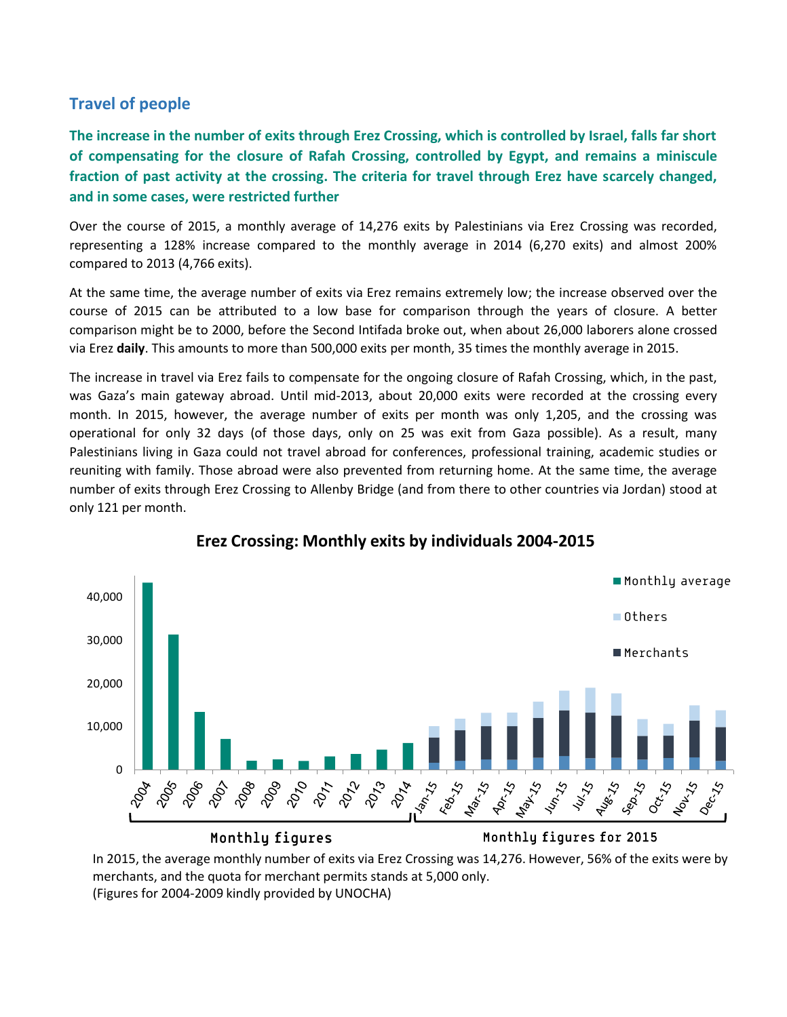## **Travel of people**

**The increase in the number of exits through Erez Crossing, which is controlled by Israel, falls far short of compensating for the closure of Rafah Crossing, controlled by Egypt, and remains a miniscule fraction of past activity at the crossing. The criteria for travel through Erez have scarcely changed, and in some cases, were restricted further**

Over the course of 2015, a monthly average of 14,276 exits by Palestinians via Erez Crossing was recorded, representing a 128% increase compared to the monthly average in 2014 (6,270 exits) and almost 200% compared to 2013 (4,766 exits).

At the same time, the average number of exits via Erez remains extremely low; the increase observed over the course of 2015 can be attributed to a low base for comparison through the years of closure. A better comparison might be to 2000, before the Second Intifada broke out, when about 26,000 laborers alone crossed via Erez **daily**. This amounts to more than 500,000 exits per month, 35 times the monthly average in 2015.

The increase in travel via Erez fails to compensate for the ongoing closure of Rafah Crossing, which, in the past, was Gaza's main gateway abroad. Until mid-2013, about 20,000 exits were recorded at the crossing every month. In 2015, however, the average number of exits per month was only 1,205, and the crossing was operational for only 32 days (of those days, only on 25 was exit from Gaza possible). As a result, many Palestinians living in Gaza could not travel abroad for conferences, professional training, academic studies or reuniting with family. Those abroad were also prevented from returning home. At the same time, the average number of exits through Erez Crossing to Allenby Bridge (and from there to other countries via Jordan) stood at only 121 per month.



## **Erez Crossing: Monthly exits by individuals 2004-2015**

In 2015, the average monthly number of exits via Erez Crossing was 14,276. However, 56% of the exits were by merchants, and the quota for merchant permits stands at 5,000 only. (Figures for 2004-2009 kindly provided by UNOCHA)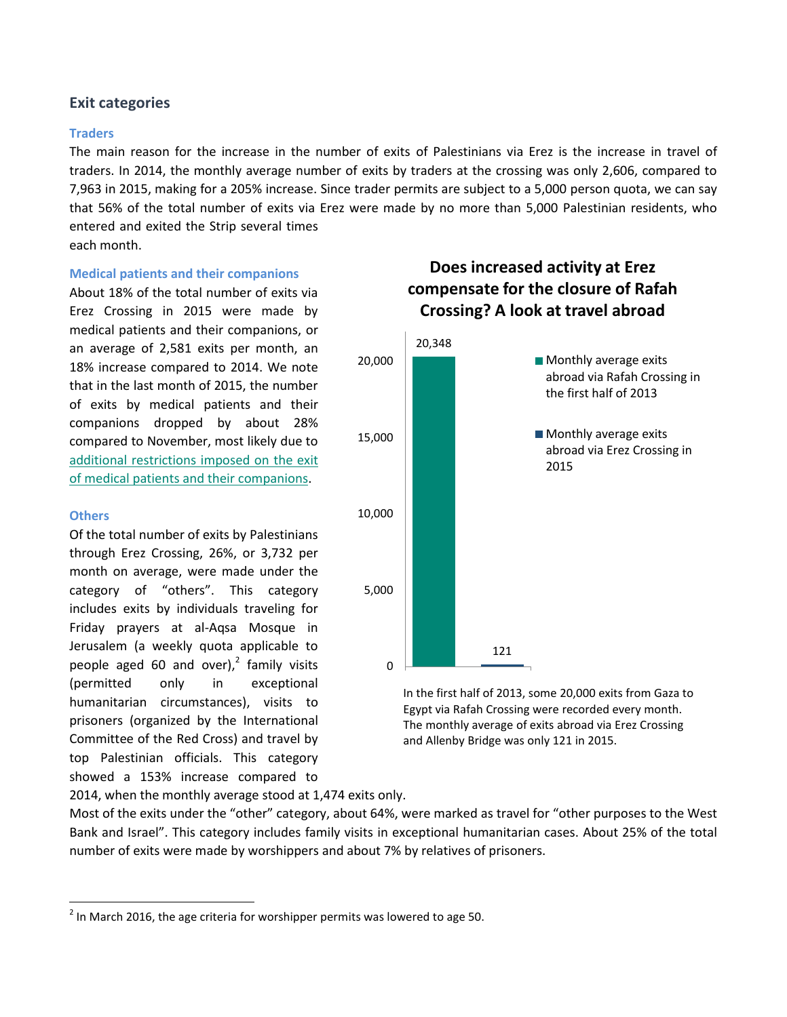## **Exit categories**

#### **Traders**

The main reason for the increase in the number of exits of Palestinians via Erez is the increase in travel of traders. In 2014, the monthly average number of exits by traders at the crossing was only 2,606, compared to 7,963 in 2015, making for a 205% increase. Since trader permits are subject to a 5,000 person quota, we can say that 56% of the total number of exits via Erez were made by no more than 5,000 Palestinian residents, who entered and exited the Strip several times

each month.

#### **Medical patients and their companions**

About 18% of the total number of exits via Erez Crossing in 2015 were made by medical patients and their companions, or an average of 2,581 exits per month, an 18% increase compared to 2014. We note that in the last month of 2015, the number of exits by medical patients and their companions dropped by about 28% compared to November, most likely due to additional restrictions imposed [on the exit](http://gisha.org/updates/4754)  of [medical patients and their companions.](http://gisha.org/updates/4754)

#### **Others**

 $\overline{\phantom{a}}$ 

Of the total number of exits by Palestinians through Erez Crossing, 26%, or 3,732 per month on average, were made under the category of "others". This category includes exits by individuals traveling for Friday prayers at al-Aqsa Mosque in Jerusalem (a weekly quota applicable to people aged 60 and over), $2$  family visits (permitted only in exceptional humanitarian circumstances), visits to prisoners (organized by the International Committee of the Red Cross) and travel by top Palestinian officials. This category showed a 153% increase compared to

# **Does increased activity at Erez compensate for the closure of Rafah Crossing? A look at travel abroad**



In the first half of 2013, some 20,000 exits from Gaza to Egypt via Rafah Crossing were recorded every month. The monthly average of exits abroad via Erez Crossing and Allenby Bridge was only 121 in 2015.

2014, when the monthly average stood at 1,474 exits only.

Most of the exits under the "other" category, about 64%, were marked as travel for "other purposes to the West Bank and Israel". This category includes family visits in exceptional humanitarian cases. About 25% of the total number of exits were made by worshippers and about 7% by relatives of prisoners.

 $^2$  In March 2016, the age criteria for worshipper permits was lowered to age 50.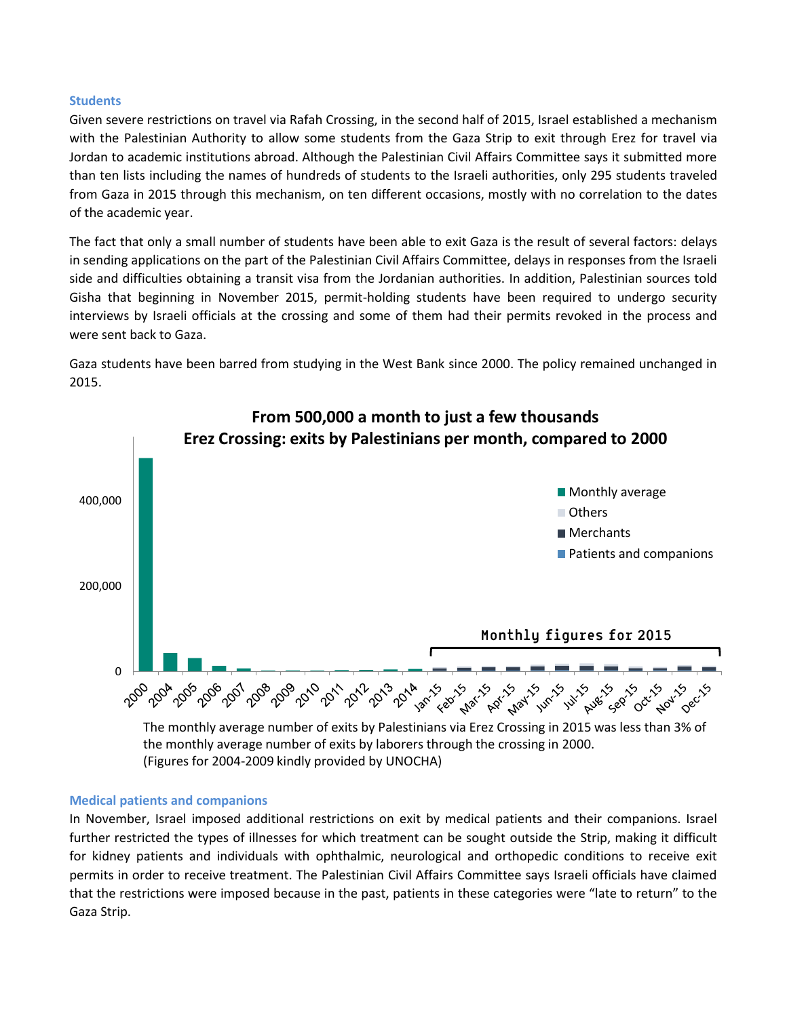#### **Students**

Given severe restrictions on travel via Rafah Crossing, in the second half of 2015, Israel established a mechanism with the Palestinian Authority to allow some students from the Gaza Strip to exit through Erez for travel via Jordan to academic institutions abroad. Although the Palestinian Civil Affairs Committee says it submitted more than ten lists including the names of hundreds of students to the Israeli authorities, only 295 students traveled from Gaza in 2015 through this mechanism, on ten different occasions, mostly with no correlation to the dates of the academic year.

The fact that only a small number of students have been able to exit Gaza is the result of several factors: delays in sending applications on the part of the Palestinian Civil Affairs Committee, delays in responses from the Israeli side and difficulties obtaining a transit visa from the Jordanian authorities. In addition, Palestinian sources told Gisha that beginning in November 2015, permit-holding students have been required to undergo security interviews by Israeli officials at the crossing and some of them had their permits revoked in the process and were sent back to Gaza.

Gaza students have been barred from studying in the West Bank since 2000. The policy remained unchanged in 2015.



the monthly average number of exits by laborers through the crossing in 2000. (Figures for 2004-2009 kindly provided by UNOCHA)

#### **Medical patients and companions**

In November, Israel imposed additional restrictions on exit by medical patients and their companions. Israel further restricted the types of illnesses for which treatment can be sought outside the Strip, making it difficult for kidney patients and individuals with ophthalmic, neurological and orthopedic conditions to receive exit permits in order to receive treatment. The Palestinian Civil Affairs Committee says Israeli officials have claimed that the restrictions were imposed because in the past, patients in these categories were "late to return" to the Gaza Strip.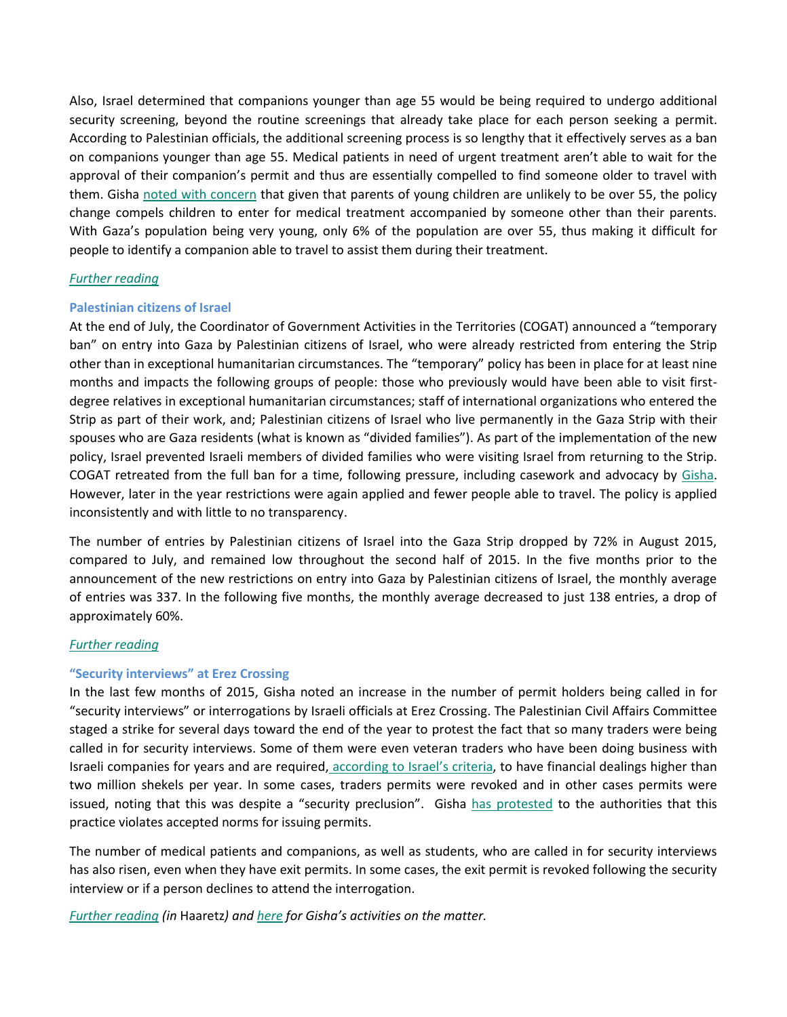Also, Israel determined that companions younger than age 55 would be being required to undergo additional security screening, beyond the routine screenings that already take place for each person seeking a permit. According to Palestinian officials, the additional screening process is so lengthy that it effectively serves as a ban on companions younger than age 55. Medical patients in need of urgent treatment aren't able to wait for the approval of their companion's permit and thus are essentially compelled to find someone older to travel with them. Gisha [noted with concern](http://gisha.org/updates/4754) that given that parents of young children are unlikely to be over 55, the policy change compels children to enter for medical treatment accompanied by someone other than their parents. With Gaza's population being very young, only 6% of the population are over 55, thus making it difficult for people to identify a companion able to travel to assist them during their treatment.

#### *[Further reading](http://gisha.org/updates/4754)*

#### **Palestinian citizens of Israel**

At the end of July, the Coordinator of Government Activities in the Territories (COGAT) announced a "temporary ban" on entry into Gaza by Palestinian citizens of Israel, who were already restricted from entering the Strip other than in exceptional humanitarian circumstances. The "temporary" policy has been in place for at least nine months and impacts the following groups of people: those who previously would have been able to visit firstdegree relatives in exceptional humanitarian circumstances; staff of international organizations who entered the Strip as part of their work, and; Palestinian citizens of Israel who live permanently in the Gaza Strip with their spouses who are Gaza residents (what is known as "divided families"). As part of the implementation of the new policy, Israel prevented Israeli members of divided families who were visiting Israel from returning to the Strip. COGAT retreated from the full ban for a time, following pressure, including casework and advocacy by [Gisha.](http://gisha.org/press/4505) However, later in the year restrictions were again applied and fewer people able to travel. The policy is applied inconsistently and with little to no transparency.

The number of entries by Palestinian citizens of Israel into the Gaza Strip dropped by 72% in August 2015, compared to July, and remained low throughout the second half of 2015. In the five months prior to the announcement of the new restrictions on entry into Gaza by Palestinian citizens of Israel, the monthly average of entries was 337. In the following five months, the monthly average decreased to just 138 entries, a drop of approximately 60%.

#### *[Further reading](http://gisha.org/updates/4679)*

#### **"Security interviews" at Erez Crossing**

In the last few months of 2015, Gisha noted an increase in the number of permit holders being called in for "security interviews" or interrogations by Israeli officials at Erez Crossing. The Palestinian Civil Affairs Committee staged a strike for several days toward the end of the year to protest the fact that so many traders were being called in for security interviews. Some of them were even veteran traders who have been doing business with Israeli companies for years and are required, [according to Israel](http://gisha.org/UserFiles/File/LegalDocuments/kit/kit_en_4.pdf)'s criteria, to have financial dealings higher than two million shekels per year. In some cases, traders permits were revoked and in other cases permits were issued, noting that this was despite a "security preclusion". Gisha [has protested](http://gisha.org/he/legal/8375/) to the authorities that this practice violates accepted norms for issuing permits.

The number of medical patients and companions, as well as students, who are called in for security interviews has also risen, even when they have exit permits. In some cases, the exit permit is revoked following the security interview or if a person declines to attend the interrogation.

*[Further reading](http://www.haaretz.com/israel-news/.premium-1.700384) (in* Haaretz*) and [here](http://gisha.org/legal/4677) for Gisha's activities on the matter.*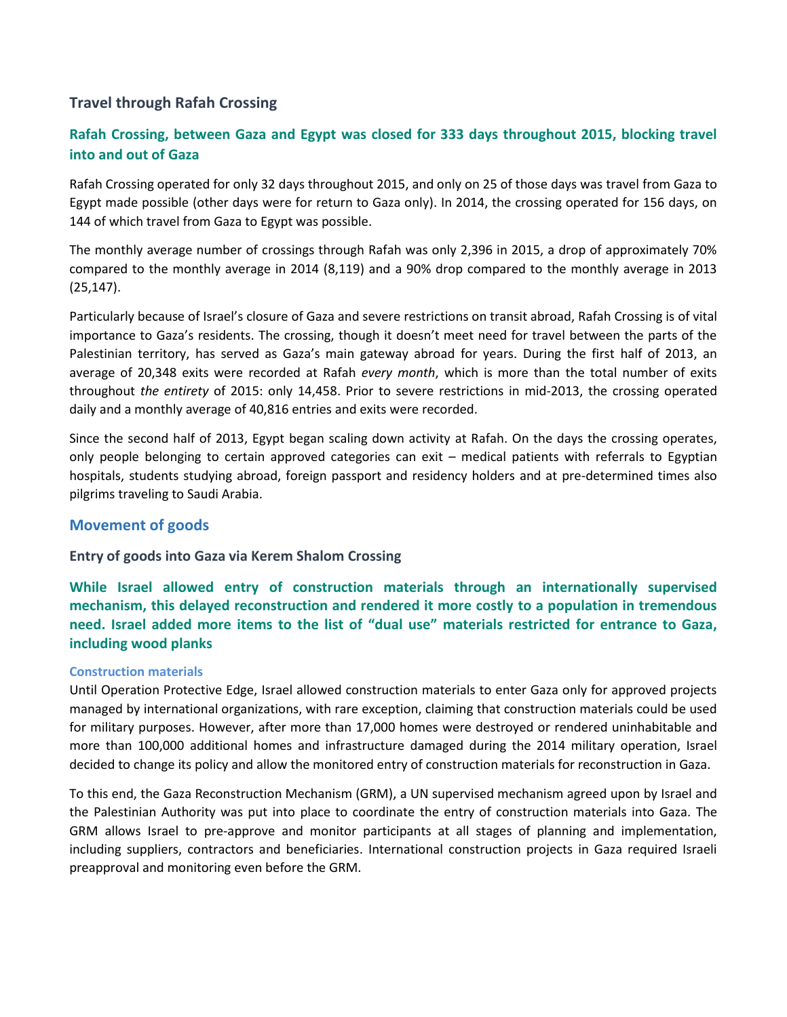## **Travel through Rafah Crossing**

## **Rafah Crossing, between Gaza and Egypt was closed for 333 days throughout 2015, blocking travel into and out of Gaza**

Rafah Crossing operated for only 32 days throughout 2015, and only on 25 of those days was travel from Gaza to Egypt made possible (other days were for return to Gaza only). In 2014, the crossing operated for 156 days, on 144 of which travel from Gaza to Egypt was possible.

The monthly average number of crossings through Rafah was only 2,396 in 2015, a drop of approximately 70% compared to the monthly average in 2014 (8,119) and a 90% drop compared to the monthly average in 2013 (25,147).

Particularly because of Israel's closure of Gaza and severe restrictions on transit abroad, Rafah Crossing is of vital importance to Gaza's residents. The crossing, though it doesn't meet need for travel between the parts of the Palestinian territory, has served as Gaza's main gateway abroad for years. During the first half of 2013, an average of 20,348 exits were recorded at Rafah *every month*, which is more than the total number of exits throughout *the entirety* of 2015: only 14,458. Prior to severe restrictions in mid-2013, the crossing operated daily and a monthly average of 40,816 entries and exits were recorded.

Since the second half of 2013, Egypt began scaling down activity at Rafah. On the days the crossing operates, only people belonging to certain approved categories can exit – medical patients with referrals to Egyptian hospitals, students studying abroad, foreign passport and residency holders and at pre-determined times also pilgrims traveling to Saudi Arabia.

## **Movement of goods**

## **Entry of goods into Gaza via Kerem Shalom Crossing**

**While Israel allowed entry of construction materials through an internationally supervised mechanism, this delayed reconstruction and rendered it more costly to a population in tremendous need. Israel added more items to the list of "dual use" materials restricted for entrance to Gaza, including wood planks**

#### **Construction materials**

Until Operation Protective Edge, Israel allowed construction materials to enter Gaza only for approved projects managed by international organizations, with rare exception, claiming that construction materials could be used for military purposes. However, after more than 17,000 homes were destroyed or rendered uninhabitable and more than 100,000 additional homes and infrastructure damaged during the 2014 military operation, Israel decided to change its policy and allow the monitored entry of construction materials for reconstruction in Gaza.

To this end, the Gaza Reconstruction Mechanism (GRM), a UN supervised mechanism agreed upon by Israel and the Palestinian Authority was put into place to coordinate the entry of construction materials into Gaza. The GRM allows Israel to pre-approve and monitor participants at all stages of planning and implementation, including suppliers, contractors and beneficiaries. International construction projects in Gaza required Israeli preapproval and monitoring even before the GRM.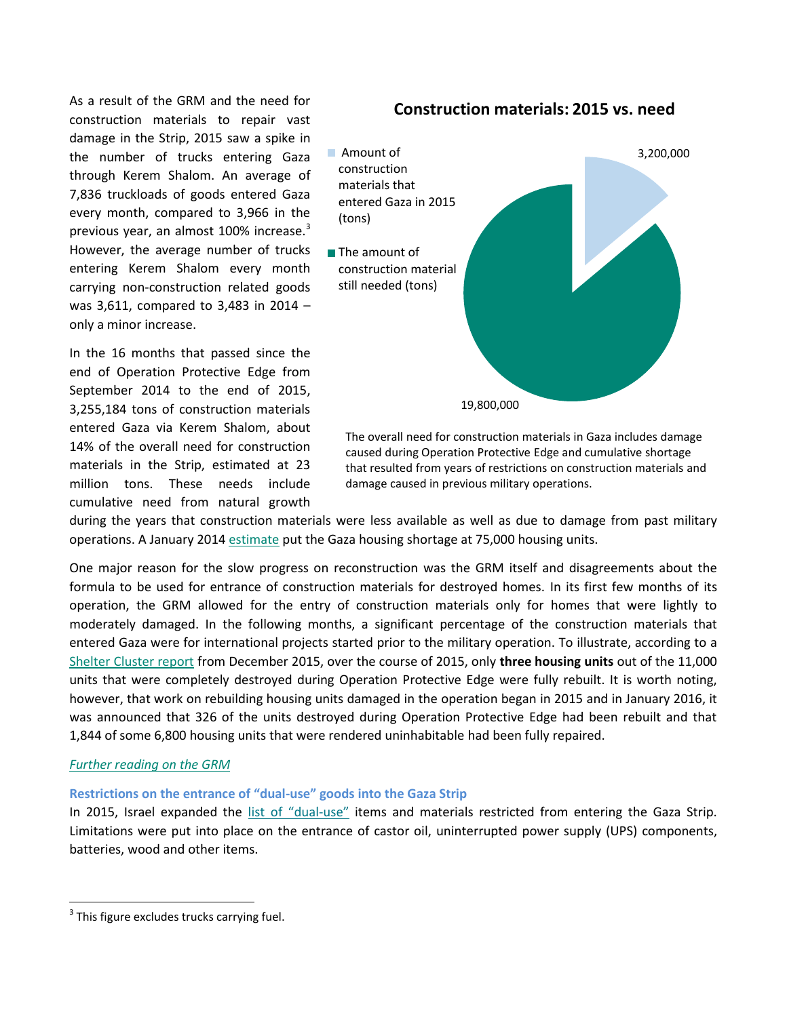As a result of the GRM and the need for construction materials to repair vast damage in the Strip, 2015 saw a spike in the number of trucks entering Gaza through Kerem Shalom. An average of 7,836 truckloads of goods entered Gaza every month, compared to 3,966 in the previous year, an almost 100% increase.<sup>3</sup> However, the average number of trucks entering Kerem Shalom every month carrying non-construction related goods was 3,611, compared to 3,483 in 2014 – only a minor increase.

In the 16 months that passed since the end of Operation Protective Edge from September 2014 to the end of 2015, 3,255,184 tons of construction materials entered Gaza via Kerem Shalom, about 14% of the overall need for construction materials in the Strip, estimated at 23 million tons. These needs include cumulative need from natural growth

## **Construction materials: 2015 vs. need**



The overall need for construction materials in Gaza includes damage caused during Operation Protective Edge and cumulative shortage that resulted from years of restrictions on construction materials and damage caused in previous military operations.

during the years that construction materials were less available as well as due to damage from past military operations. A January 2014 [estimate](http://gisha.org/publication/3339) put the Gaza housing shortage at 75,000 housing units.

One major reason for the slow progress on reconstruction was the GRM itself and disagreements about the formula to be used for entrance of construction materials for destroyed homes. In its first few months of its operation, the GRM allowed for the entry of construction materials only for homes that were lightly to moderately damaged. In the following months, a significant percentage of the construction materials that entered Gaza were for international projects started prior to the military operation. To illustrate, according to a [Shelter Cluster report](http://shelterpalestine.org/Upload/Doc/53f7d857-a6bc-4cf1-b5bd-90d72a6ed66b.pdf) from December 2015, over the course of 2015, only **three housing units** out of the 11,000 units that were completely destroyed during Operation Protective Edge were fully rebuilt. It is worth noting, however, that work on rebuilding housing units damaged in the operation began in 2015 and in January 2016, it was announced that 326 of the units destroyed during Operation Protective Edge had been rebuilt and that 1,844 of some 6,800 housing units that were rendered uninhabitable had been fully repaired.

#### *[Further reading on the GRM](http://features.gisha.org/wheres-the-housing-boom/)*

 $\overline{\phantom{a}}$ 

#### **Restrictions on the entrance of "dual-use" goods into the Gaza Strip**

In 2015, Israel expanded the list of "[dual-use](http://gisha.org/UserFiles/File/LegalDocuments/procedures/merchandise/170.pdf)" items and materials restricted from entering the Gaza Strip. Limitations were put into place on the entrance of castor oil, uninterrupted power supply (UPS) components, batteries, wood and other items.

 $3$  This figure excludes trucks carrying fuel.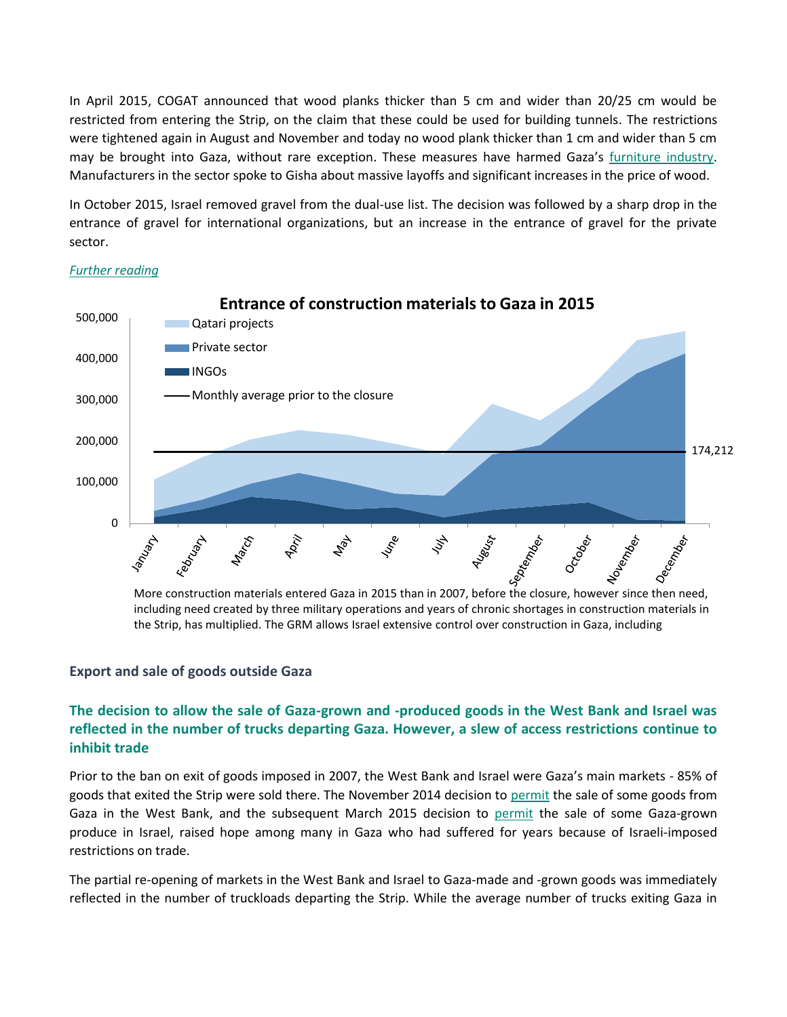In April 2015, COGAT announced that wood planks thicker than 5 cm and wider than 20/25 cm would be restricted from entering the Strip, on the claim that these could be used for building tunnels. The restrictions were tightened again in August and November and today no wood plank thicker than 1 cm and wider than 5 cm may be brought into Gaza, without rare exception. These measures have harmed Gaza's [furniture industry.](http://gisha.org/UserFiles/File/letters/Letter-to-COGAT-wood-2.11.15-en.pdf) Manufacturers in the sector spoke to Gisha about massive layoffs and significant increases in the price of wood.

In October 2015, Israel removed gravel from the dual-use list. The decision was followed by a sharp drop in the entrance of gravel for international organizations, but an increase in the entrance of gravel for the private sector.



#### *[Further reading](http://gisha.org/en-blog/2016/01/31/checking-the-dual-use-list-twice/)*

including need created by three military operations and years of chronic shortages in construction materials in the Strip, has multiplied. The GRM allows Israel extensive control over construction in Gaza, including

#### **Export and sale of goods outside Gaza**

## **The decision to allow the sale of Gaza-grown and -produced goods in the West Bank and Israel was reflected in the number of trucks departing Gaza. However, a slew of access restrictions continue to inhibit trade**

Prior to the ban on exit of goods imposed in 2007, the West Bank and Israel were Gaza's main markets - 85% of goods that exited the Strip were sold there. The November 2014 decision to [permit](http://gisha.org/updates/3671) the sale of some goods from Gaza in the West Bank, and the subsequent March 2015 decision to [permit](http://gisha.org/updates/4065) the sale of some Gaza-grown produce in Israel, raised hope among many in Gaza who had suffered for years because of Israeli-imposed restrictions on trade.

The partial re-opening of markets in the West Bank and Israel to Gaza-made and -grown goods was immediately reflected in the number of truckloads departing the Strip. While the average number of trucks exiting Gaza in